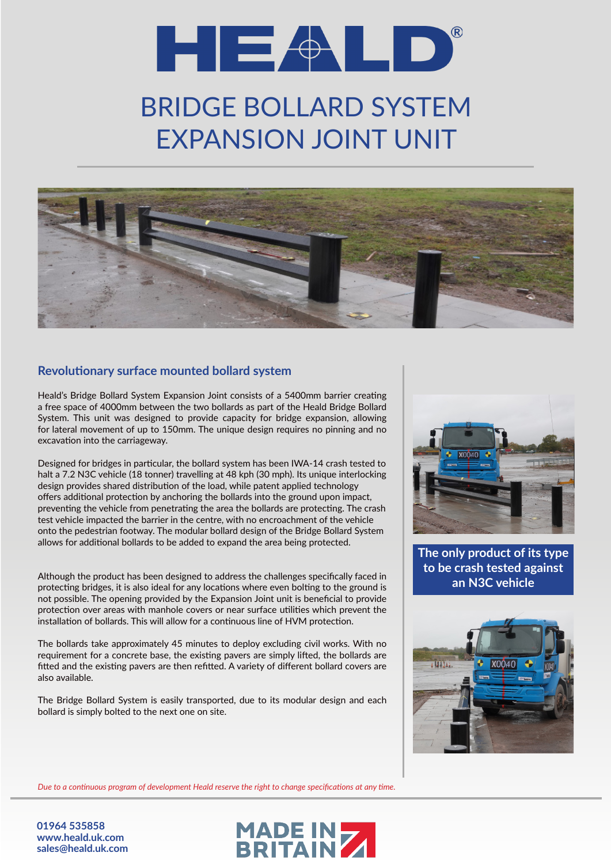## $\blacksquare$   $\blacksquare$   $\uparrow$   $\blacksquare$   $\blacksquare$   $\uparrow$   $\blacksquare$

## BRIDGE BOLLARD SYSTEM EXPANSION JOINT UNIT



## **Revolutionary surface mounted bollard system**

Heald's Bridge Bollard System Expansion Joint consists of a 5400mm barrier creating a free space of 4000mm between the two bollards as part of the Heald Bridge Bollard System. This unit was designed to provide capacity for bridge expansion, allowing for lateral movement of up to 150mm. The unique design requires no pinning and no excavation into the carriageway.

Designed for bridges in particular, the bollard system has been IWA-14 crash tested to halt a 7.2 N3C vehicle (18 tonner) travelling at 48 kph (30 mph). Its unique interlocking design provides shared distribution of the load, while patent applied technology offers additional protection by anchoring the bollards into the ground upon impact, preventing the vehicle from penetrating the area the bollards are protecting. The crash test vehicle impacted the barrier in the centre, with no encroachment of the vehicle onto the pedestrian footway. The modular bollard design of the Bridge Bollard System allows for additional bollards to be added to expand the area being protected.

Although the product has been designed to address the challenges specifically faced in protecting bridges, it is also ideal for any locations where even bolting to the ground is not possible. The opening provided by the Expansion Joint unit is beneficial to provide protection over areas with manhole covers or near surface utilities which prevent the installation of bollards. This will allow for a continuous line of HVM protection.

The bollards take approximately 45 minutes to deploy excluding civil works. With no requirement for a concrete base, the existing pavers are simply lifted, the bollards are fitted and the existing pavers are then refitted. A variety of different bollard covers are also available.

The Bridge Bollard System is easily transported, due to its modular design and each bollard is simply bolted to the next one on site.



**The only product of its type to be crash tested against an N3C vehicle**



*Due to a continuous program of development Heald reserve the right to change specifications at any time.*

**01964 535858 www.heald.uk.com sales@heald.uk.com**